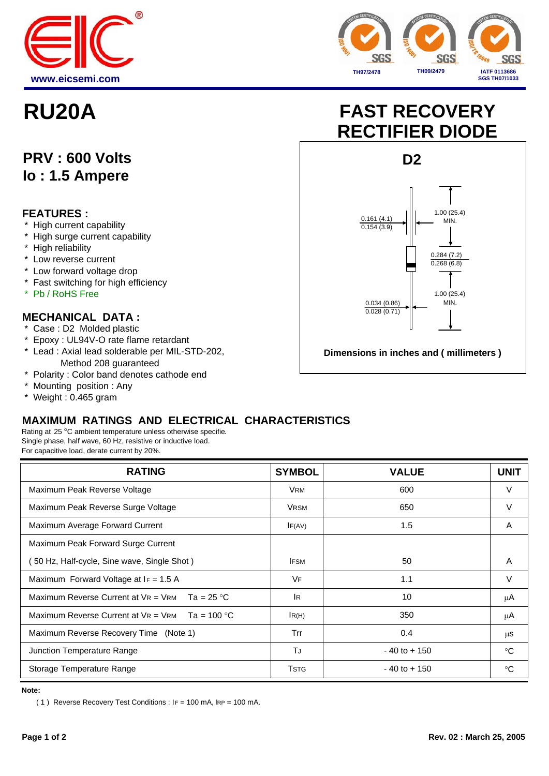



## **PRV : 600 Volts Io : 1.5 Ampere**

#### **FEATURES :**

- \* High current capability
- \* High surge current capability
- \* High reliability
- \* Low reverse current
- \* Low forward voltage drop
- \* Fast switching for high efficiency
- \* Pb / RoHS Free

#### **MECHANICAL DATA :**

- \* Case : D2 Molded plastic
- \* Epoxy : UL94V-O rate flame retardant
- \* Lead : Axial lead solderable per MIL-STD-202, Method 208 guaranteed
- \* Polarity : Color band denotes cathode end
- \* Mounting position : Any
- \* Weight : 0.465 gram

# **RU20A FAST RECOVERY RECTIFIER DIODE**



### **MAXIMUM RATINGS AND ELECTRICAL CHARACTERISTICS**

Rating at 25 °C ambient temperature unless otherwise specifie. Single phase, half wave, 60 Hz, resistive or inductive load. For capacitive load, derate current by 20%.

| <b>RATING</b>                                     | <b>SYMBOL</b> | <b>VALUE</b>    | <b>UNIT</b>  |
|---------------------------------------------------|---------------|-----------------|--------------|
| Maximum Peak Reverse Voltage                      | <b>VRM</b>    | 600             | V            |
| Maximum Peak Reverse Surge Voltage                | <b>VRSM</b>   | 650             | $\vee$       |
| Maximum Average Forward Current                   | IF(AV)        | 1.5             | A            |
| Maximum Peak Forward Surge Current                |               |                 |              |
| 50 Hz, Half-cycle, Sine wave, Single Shot)        | <b>IFSM</b>   | 50              | Α            |
| Maximum Forward Voltage at $I_F = 1.5$ A          | VF            | 1.1             | V            |
| Maximum Reverse Current at $V = V$ RM Ta = 25 °C  | <b>IR</b>     | 10              | μA           |
| Maximum Reverse Current at $V = V$ RM Ta = 100 °C | IR(H)         | 350             | μA           |
| Maximum Reverse Recovery Time (Note 1)            | Trr           | 0.4             | μS           |
| Junction Temperature Range                        | TJ            | $-40$ to $+150$ | $^{\circ}$ C |
| Storage Temperature Range                         | <b>TSTG</b>   | $-40$ to $+150$ | $^{\circ}$   |

**Note:**

( 1) Reverse Recovery Test Conditions :  $IF = 100$  mA,  $IRP = 100$  mA.